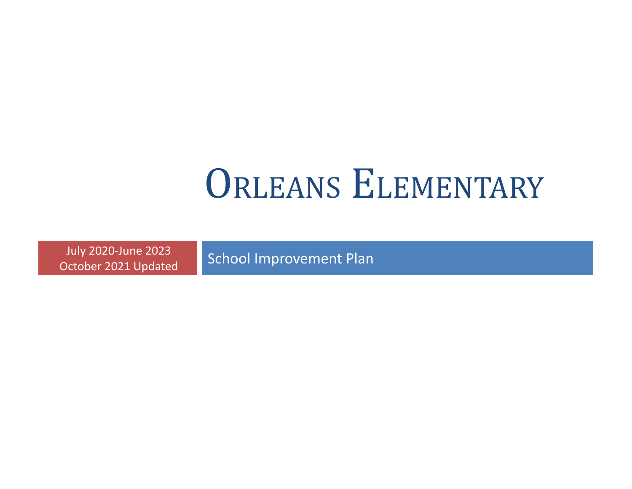# ORLEANS ELEMENTARY

July 2020-June 2023 October 2021 Updated

School Improvement Plan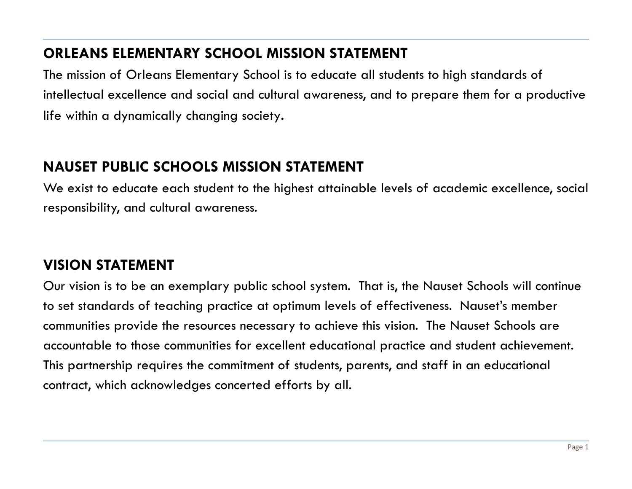#### **ORLEANS ELEMENTARY SCHOOL MISSION STATEMENT**

The mission of Orleans Elementary School is to educate all students to high standards of intellectual excellence and social and cultural awareness, and to prepare them for a productive life within a dynamically changing society.

#### **NAUSET PUBLIC SCHOOLS MISSION STATEMENT**

We exist to educate each student to the highest attainable levels of academic excellence, social responsibility, and cultural awareness.

### **VISION STATEMENT**

Our vision is to be an exemplary public school system. That is, the Nauset Schools will continue to set standards of teaching practice at optimum levels of effectiveness. Nauset's member communities provide the resources necessary to achieve this vision. The Nauset Schools are accountable to those communities for excellent educational practice and student achievement. This partnership requires the commitment of students, parents, and staff in an educational contract, which acknowledges concerted efforts by all.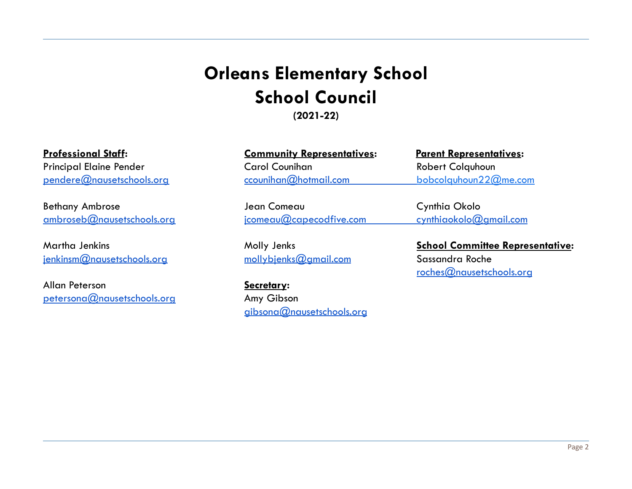## **Orleans Elementary School School Council**

**(2021-22)**

Bethany Ambrose **Dean Comeau Cynthia Okolo** [ambroseb@nausetschools.org](mailto:ambroseb@nausetschools.org) [jcomeau@capecodfive.com](mailto:jcomeau@capecodfive.com) cynthiaokolo@gmail.com

[jenkinsm@nausetschools.org](mailto:jenkinsm@nausetschools.org) [mollybjenks@gmail.com](mailto:mollybjenks@gmail.com) Sassandra Roche

Allan Peterson **Secretary:** [petersona@nausetschools.org](mailto:petersona@nausetschools.org) Amy Gibson

| <b>Professional Staff:</b>     | <b>Community Representatives:</b> | <u>Parent Representatives:</u> |
|--------------------------------|-----------------------------------|--------------------------------|
| <b>Principal Elaine Pender</b> | Carol Counihan                    | Robert Colquhoun               |
| pendere@nausetschools.org      | ccounihan@hotmail.com             | bobcolquhoun $22@$ me.com      |

[gibsona@nausetschools.org](mailto:templetonm@nausetschools.org)

Martha Jenkins Molly Jenks **School Committee Representative:** [roches@nausetschools.org](mailto:roches@nausetschools.org)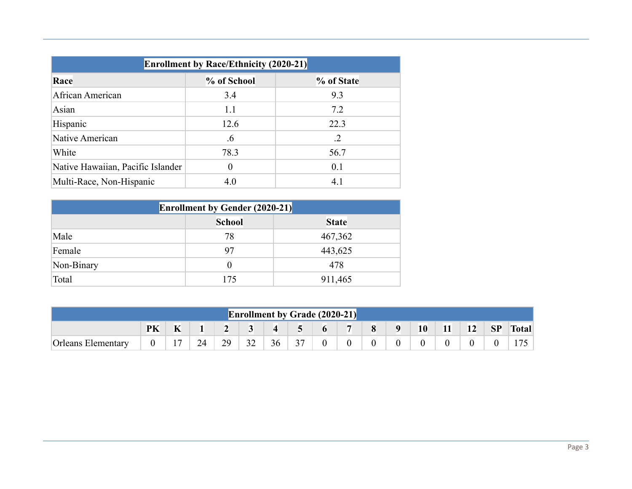| <b>Enrollment by Race/Ethnicity (2020-21)</b> |             |            |  |  |  |  |  |  |
|-----------------------------------------------|-------------|------------|--|--|--|--|--|--|
| Race                                          | % of School | % of State |  |  |  |  |  |  |
| African American                              | 3.4         | 9.3        |  |  |  |  |  |  |
| Asian                                         | 1.1         | 7.2        |  |  |  |  |  |  |
| Hispanic                                      | 12.6        | 22.3       |  |  |  |  |  |  |
| Native American                               | .6          | $\cdot$ .2 |  |  |  |  |  |  |
| White                                         | 78.3        | 56.7       |  |  |  |  |  |  |
| Native Hawaiian, Pacific Islander             | $\theta$    | 0.1        |  |  |  |  |  |  |
| Multi-Race, Non-Hispanic                      | 4.0         | 4.1        |  |  |  |  |  |  |

| <b>Enrollment by Gender (2020-21)</b> |          |         |  |  |  |  |  |
|---------------------------------------|----------|---------|--|--|--|--|--|
| <b>School</b><br><b>State</b>         |          |         |  |  |  |  |  |
| Male                                  | 78       | 467,362 |  |  |  |  |  |
| Female                                | 97       | 443,625 |  |  |  |  |  |
| Non-Binary                            | $\theta$ | 478     |  |  |  |  |  |
| Total                                 | 175      | 911,465 |  |  |  |  |  |

| <b>Enrollment by Grade (2020-21)</b> |    |   |    |    |    |           |                |                |         |          |                  |    |           |           |           |              |
|--------------------------------------|----|---|----|----|----|-----------|----------------|----------------|---------|----------|------------------|----|-----------|-----------|-----------|--------------|
|                                      | PK | K |    |    |    | $\vert$ 4 | 5 <sup>5</sup> | 6              |         | 8        | $\boldsymbol{9}$ | 10 | <b>11</b> | <b>12</b> | <b>SP</b> | <b>Total</b> |
| <b>Orleans Elementary</b>            |    |   | 24 | 29 | 32 | 36        | 37             | $\overline{0}$ | $\rm 0$ | $\Omega$ |                  |    |           | $\Omega$  |           | 175          |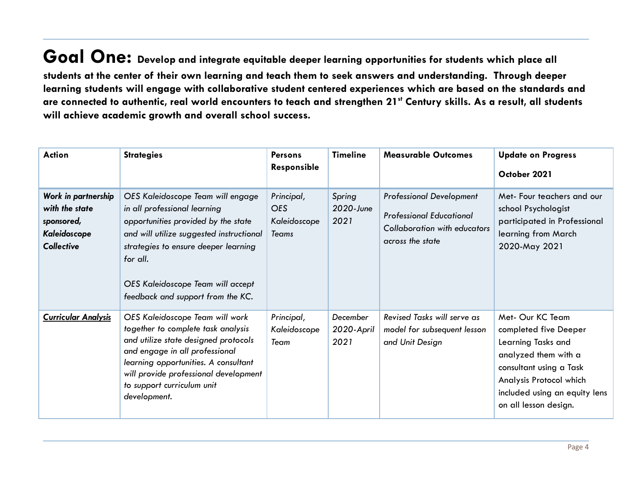**Goal One: Develop and integrate equitable deeper learning opportunities for students which place all** students at the center of their own learning and teach them to seek answers and understanding. Through deeper learning students will engage with collaborative student centered experiences which are based on the standards and are connected to authentic, real world encounters to teach and strengthen 21st Century skills. As a result, all students **will achieve academic growth and overall school success.**

| <b>Action</b>                                                                            | <b>Strategies</b>                                                                                                                                                                                                                                                                  | <b>Persons</b><br>Responsible                            | <b>Timeline</b>                | <b>Measurable Outcomes</b>                                                                                                    | <b>Update on Progress</b><br>October 2021                                                                                                                                                               |
|------------------------------------------------------------------------------------------|------------------------------------------------------------------------------------------------------------------------------------------------------------------------------------------------------------------------------------------------------------------------------------|----------------------------------------------------------|--------------------------------|-------------------------------------------------------------------------------------------------------------------------------|---------------------------------------------------------------------------------------------------------------------------------------------------------------------------------------------------------|
| Work in partnership<br>with the state<br>sponsored,<br>Kaleidoscope<br><b>Collective</b> | OES Kaleidoscope Team will engage<br>in all professional learning<br>opportunities provided by the state<br>and will utilize suggested instructional<br>strategies to ensure deeper learning<br>for all.<br>OES Kaleidoscope Team will accept<br>feedback and support from the KC. | Principal,<br><b>OES</b><br>Kaleidoscope<br><b>Teams</b> | Spring<br>2020-June<br>2021    | <b>Professional Development</b><br><b>Professional Educational</b><br><b>Collaboration with educators</b><br>across the state | Met- Four teachers and our<br>school Psychologist<br>participated in Professional<br>learning from March<br>2020-May 2021                                                                               |
| <b>Curricular Analysis</b>                                                               | OES Kaleidoscope Team will work<br>together to complete task analysis<br>and utilize state designed protocols<br>and engage in all professional<br>learning opportunities. A consultant<br>will provide professional development<br>to support curriculum unit<br>development.     | Principal,<br>Kaleidoscope<br>Team                       | December<br>2020-April<br>2021 | Revised Tasks will serve as<br>model for subsequent lesson<br>and Unit Design                                                 | Met- Our KC Team<br>completed five Deeper<br>Learning Tasks and<br>analyzed them with a<br>consultant using a Task<br>Analysis Protocol which<br>included using an equity lens<br>on all lesson design. |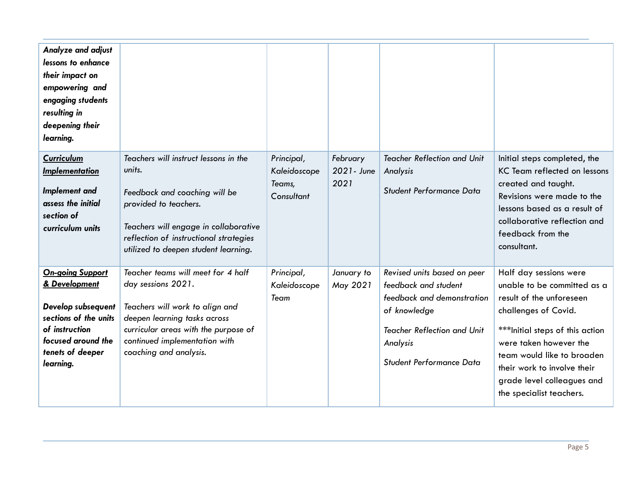| Analyze and adjust<br>lessons to enhance<br>their impact on<br>empowering and<br>engaging students<br>resulting in<br>deepening their<br>learning.               |                                                                                                                                                                                                                                      |                                                    |                                 |                                                                                                                                                                                 |                                                                                                                                                                                                                                                                                                |
|------------------------------------------------------------------------------------------------------------------------------------------------------------------|--------------------------------------------------------------------------------------------------------------------------------------------------------------------------------------------------------------------------------------|----------------------------------------------------|---------------------------------|---------------------------------------------------------------------------------------------------------------------------------------------------------------------------------|------------------------------------------------------------------------------------------------------------------------------------------------------------------------------------------------------------------------------------------------------------------------------------------------|
| Curriculum<br>Implementation<br>Implement and<br>assess the initial<br>section of<br>curriculum units                                                            | Teachers will instruct lessons in the<br>units.<br>Feedback and coaching will be<br>provided to teachers.<br>Teachers will engage in collaborative<br>reflection of instructional strategies<br>utilized to deepen student learning. | Principal,<br>Kaleidoscope<br>Teams,<br>Consultant | February<br>2021 - June<br>2021 | <b>Teacher Reflection and Unit</b><br>Analysis<br>Student Performance Data                                                                                                      | Initial steps completed, the<br>KC Team reflected on lessons<br>created and taught.<br>Revisions were made to the<br>lessons based as a result of<br>collaborative reflection and<br>feedback from the<br>consultant.                                                                          |
| <b>On-going Support</b><br>& Development<br>Develop subsequent<br>sections of the units<br>of instruction<br>focused around the<br>tenets of deeper<br>learning. | Teacher teams will meet for 4 half<br>day sessions 2021.<br>Teachers will work to align and<br>deepen learning tasks across<br>curricular areas with the purpose of<br>continued implementation with<br>coaching and analysis.       | Principal,<br>Kaleidoscope<br>Team                 | January to<br>May 2021          | Revised units based on peer<br>feedback and student<br>feedback and demonstration<br>of knowledge<br><b>Teacher Reflection and Unit</b><br>Analysis<br>Student Performance Data | Half day sessions were<br>unable to be committed as a<br>result of the unforeseen<br>challenges of Covid.<br>*** Initial steps of this action<br>were taken however the<br>team would like to broaden<br>their work to involve their<br>grade level colleagues and<br>the specialist teachers. |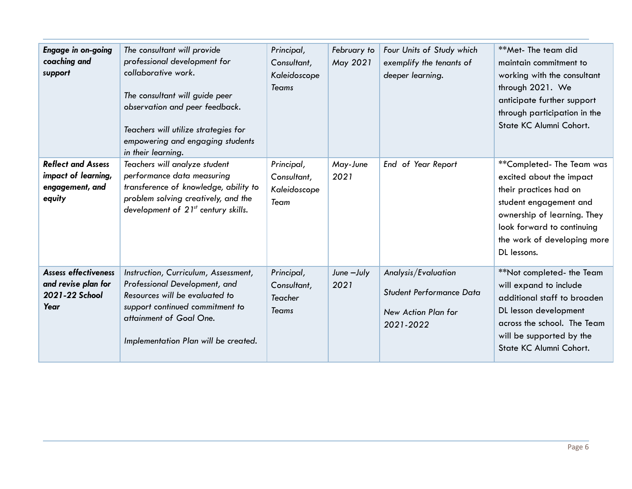| Engage in on-going<br>coaching and<br>support                                 | The consultant will provide<br>professional development for<br>collaborative work.<br>The consultant will guide peer<br>observation and peer feedback.<br>Teachers will utilize strategies for<br>empowering and engaging students<br>in their learning. | Principal,<br>Consultant,<br>Kaleidoscope<br><b>Teams</b> | February to<br>May 2021 | Four Units of Study which<br>exemplify the tenants of<br>deeper learning.                  | **Met-The team did<br>maintain commitment to<br>working with the consultant<br>through 2021. We<br>anticipate further support<br>through participation in the<br>State KC Alumni Cohort.                            |
|-------------------------------------------------------------------------------|----------------------------------------------------------------------------------------------------------------------------------------------------------------------------------------------------------------------------------------------------------|-----------------------------------------------------------|-------------------------|--------------------------------------------------------------------------------------------|---------------------------------------------------------------------------------------------------------------------------------------------------------------------------------------------------------------------|
| <b>Reflect and Assess</b><br>impact of learning,<br>engagement, and<br>equity | Teachers will analyze student<br>performance data measuring<br>transference of knowledge, ability to<br>problem solving creatively, and the<br>development of $21^{st}$ century skills.                                                                  | Principal,<br>Consultant,<br>Kaleidoscope<br>Team         | May-June<br>2021        | End of Year Report                                                                         | **Completed-The Team was<br>excited about the impact<br>their practices had on<br>student engagement and<br>ownership of learning. They<br>look forward to continuing<br>the work of developing more<br>DL lessons. |
| <b>Assess effectiveness</b><br>and revise plan for<br>2021-22 School<br>Year  | Instruction, Curriculum, Assessment,<br>Professional Development, and<br>Resources will be evaluated to<br>support continued commitment to<br>attainment of Goal One.<br>Implementation Plan will be created.                                            | Principal,<br>Consultant,<br>Teacher<br><b>Teams</b>      | June -July<br>2021      | Analysis/Evaluation<br><b>Student Performance Data</b><br>New Action Plan for<br>2021-2022 | **Not completed- the Team<br>will expand to include<br>additional staff to broaden<br>DL lesson development<br>across the school. The Team<br>will be supported by the<br>State KC Alumni Cohort.                   |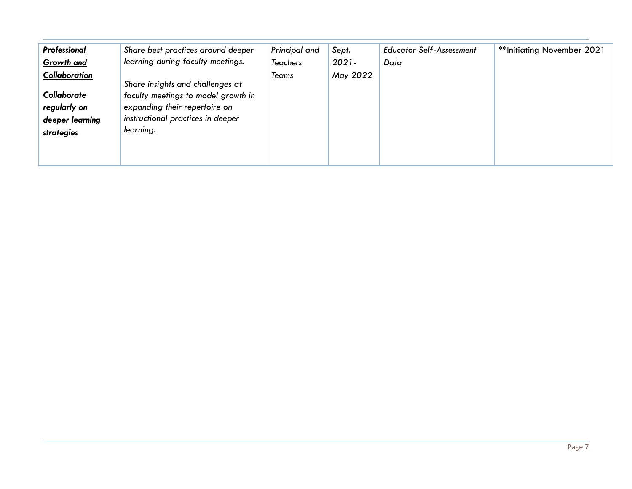| <b>Professional</b><br><b>Growth and</b><br>Collaboration<br>Collaborate<br>regularly on<br>deeper learning<br>strategies | Share best practices around deeper<br>learning during faculty meetings.<br>Share insights and challenges at<br>faculty meetings to model growth in<br>expanding their repertoire on<br>instructional practices in deeper<br>learning. | Principal and<br><b>Teachers</b><br>Teams | Sept.<br>$2021 -$<br>May 2022 | <b>Educator Self-Assessment</b><br>Data | **Initiating November 2021 |
|---------------------------------------------------------------------------------------------------------------------------|---------------------------------------------------------------------------------------------------------------------------------------------------------------------------------------------------------------------------------------|-------------------------------------------|-------------------------------|-----------------------------------------|----------------------------|
|---------------------------------------------------------------------------------------------------------------------------|---------------------------------------------------------------------------------------------------------------------------------------------------------------------------------------------------------------------------------------|-------------------------------------------|-------------------------------|-----------------------------------------|----------------------------|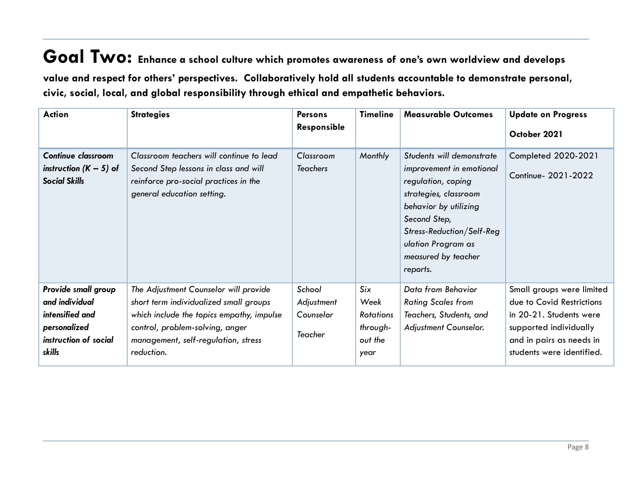**Goal Two: Enhance <sup>a</sup> school culture which promotes awareness of one's own worldview and develops value and respect for others' perspectives. Collaboratively hold all students accountable to demonstrate personal, civic, social, local, and global responsibility through ethical and empathetic behaviors.**

| <b>Action</b>                                                                                               | <b>Strategies</b>                                                                                                                                                                                                    | <b>Persons</b><br><b>Responsible</b>         | <b>Timeline</b>                                                | <b>Measurable Outcomes</b>                                                                                                                                                                                                          | <b>Update on Progress</b><br>October 2021                                                                                                                            |
|-------------------------------------------------------------------------------------------------------------|----------------------------------------------------------------------------------------------------------------------------------------------------------------------------------------------------------------------|----------------------------------------------|----------------------------------------------------------------|-------------------------------------------------------------------------------------------------------------------------------------------------------------------------------------------------------------------------------------|----------------------------------------------------------------------------------------------------------------------------------------------------------------------|
| <b>Continue classroom</b><br>instruction $(K - 5)$ of<br><b>Social Skills</b>                               | Classroom teachers will continue to lead<br>Second Step lessons in class and will<br>reinforce pro-social practices in the<br>general education setting.                                                             | Classroom<br><b>Teachers</b>                 | Monthly                                                        | Students will demonstrate<br>improvement in emotional<br>regulation, coping<br>strategies, classroom<br>behavior by utilizing<br>Second Step,<br>Stress-Reduction/Self-Reg<br>ulation Program as<br>measured by teacher<br>reports. | Completed 2020-2021<br>Continue- 2021-2022                                                                                                                           |
| Provide small group<br>and individual<br>intensified and<br>personalized<br>instruction of social<br>skills | The Adjustment Counselor will provide<br>short term individualized small groups<br>which include the topics empathy, impulse<br>control, problem-solving, anger<br>management, self-regulation, stress<br>reduction. | School<br>Adjustment<br>Counselor<br>Teacher | Six<br>Week<br><b>Rotations</b><br>through-<br>out the<br>year | Data from Behavior<br><b>Rating Scales from</b><br>Teachers, Students, and<br>Adjustment Counselor.                                                                                                                                 | Small groups were limited<br>due to Covid Restrictions<br>in 20-21. Students were<br>supported individually<br>and in pairs as needs in<br>students were identified. |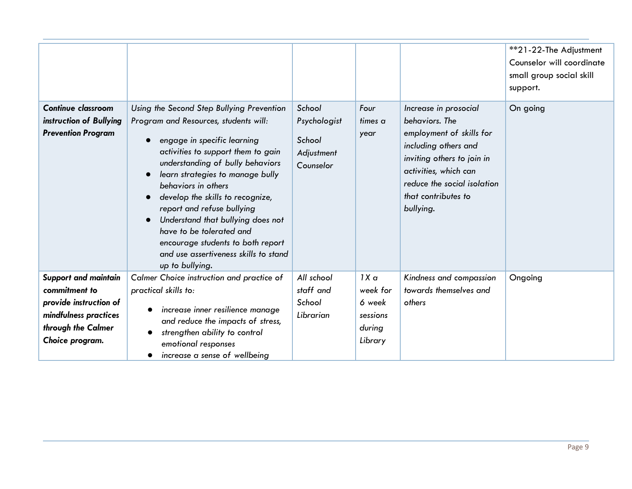|                                                                                                                                          |                                                                                                                                                                                                                                                                                                                                                                                                                                                                                            |                                                             |                                                                        |                                                                                                                                                                                                                       | **21-22-The Adjustment<br>Counselor will coordinate<br>small group social skill<br>support. |
|------------------------------------------------------------------------------------------------------------------------------------------|--------------------------------------------------------------------------------------------------------------------------------------------------------------------------------------------------------------------------------------------------------------------------------------------------------------------------------------------------------------------------------------------------------------------------------------------------------------------------------------------|-------------------------------------------------------------|------------------------------------------------------------------------|-----------------------------------------------------------------------------------------------------------------------------------------------------------------------------------------------------------------------|---------------------------------------------------------------------------------------------|
| <b>Continue classroom</b><br>instruction of Bullying<br><b>Prevention Program</b>                                                        | Using the Second Step Bullying Prevention<br>Program and Resources, students will:<br>engage in specific learning<br>activities to support them to gain<br>understanding of bully behaviors<br>learn strategies to manage bully<br>behaviors in others<br>develop the skills to recognize,<br>report and refuse bullying<br>Understand that bullying does not<br>have to be tolerated and<br>encourage students to both report<br>and use assertiveness skills to stand<br>up to bullying. | School<br>Psychologist<br>School<br>Adjustment<br>Counselor | Four<br>times a<br>year                                                | Increase in prosocial<br>behaviors. The<br>employment of skills for<br>including others and<br>inviting others to join in<br>activities, which can<br>reduce the social isolation<br>that contributes to<br>bullying. | On going                                                                                    |
| <b>Support and maintain</b><br>commitment to<br>provide instruction of<br>mindfulness practices<br>through the Calmer<br>Choice program. | Calmer Choice instruction and practice of<br>practical skills to:<br>increase inner resilience manage<br>and reduce the impacts of stress,<br>strengthen ability to control<br>emotional responses<br>increase a sense of wellbeing<br>$\bullet$                                                                                                                                                                                                                                           | All school<br>staff and<br>School<br>Librarian              | 1X <sub>a</sub><br>week for<br>6 week<br>sessions<br>during<br>Library | Kindness and compassion<br>towards themselves and<br>others                                                                                                                                                           | Ongoing                                                                                     |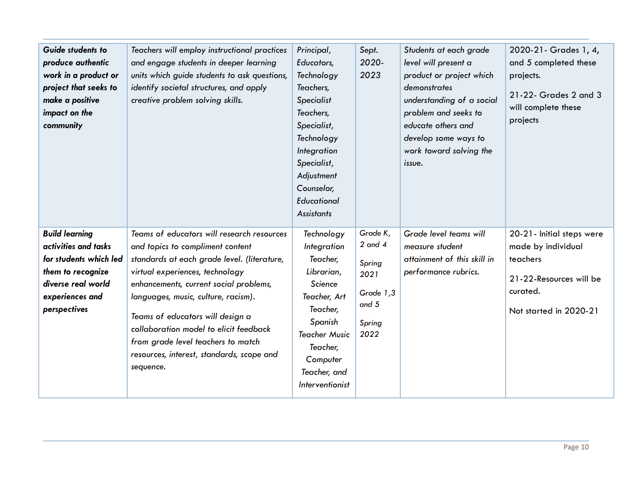| Guide students to<br>produce authentic<br>work in a product or<br>project that seeks to<br>make a positive<br>impact on the<br>community              | Teachers will employ instructional practices<br>and engage students in deeper learning<br>units which guide students to ask questions,<br>identify societal structures, and apply<br>creative problem solving skills.                                                                                                                                                                                                           | Principal,<br>Educators,<br>Technology<br>Teachers,<br>Specialist<br>Teachers,<br>Specialist,<br>Technology<br>Integration<br>Specialist,<br>Adjustment<br>Counselor,<br>Educational<br><b>Assistants</b> | Sept.<br>2020-<br>2023                                                              | Students at each grade<br>level will present a<br>product or project which<br>demonstrates<br>understanding of a social<br>problem and seeks to<br>educate others and<br>develop some ways to<br>work toward solving the<br>issue. | 2020-21 - Grades 1, 4,<br>and 5 completed these<br>projects.<br>21-22- Grades 2 and 3<br>will complete these<br>projects     |
|-------------------------------------------------------------------------------------------------------------------------------------------------------|---------------------------------------------------------------------------------------------------------------------------------------------------------------------------------------------------------------------------------------------------------------------------------------------------------------------------------------------------------------------------------------------------------------------------------|-----------------------------------------------------------------------------------------------------------------------------------------------------------------------------------------------------------|-------------------------------------------------------------------------------------|------------------------------------------------------------------------------------------------------------------------------------------------------------------------------------------------------------------------------------|------------------------------------------------------------------------------------------------------------------------------|
| <b>Build learning</b><br>activities and tasks<br>for students which led<br>them to recognize<br>diverse real world<br>experiences and<br>perspectives | Teams of educators will research resources<br>and topics to compliment content<br>standards at each grade level. (literature,<br>virtual experiences, technology<br>enhancements, current social problems,<br>languages, music, culture, racism).<br>Teams of educators will design a<br>collaboration model to elicit feedback<br>from grade level teachers to match<br>resources, interest, standards, scope and<br>sequence. | Technology<br>Integration<br>Teacher,<br>Librarian,<br>Science<br>Teacher, Art<br>Teacher,<br>Spanish<br><b>Teacher Music</b><br>Teacher,<br>Computer<br>Teacher, and<br>Interventionist                  | Grade K,<br>$2$ and $4$<br>Spring<br>2021<br>Grade 1,3<br>and $5$<br>Spring<br>2022 | Grade level teams will<br>measure student<br>attainment of this skill in<br>performance rubrics.                                                                                                                                   | 20-21- Initial steps were<br>made by individual<br>teachers<br>21-22-Resources will be<br>curated.<br>Not started in 2020-21 |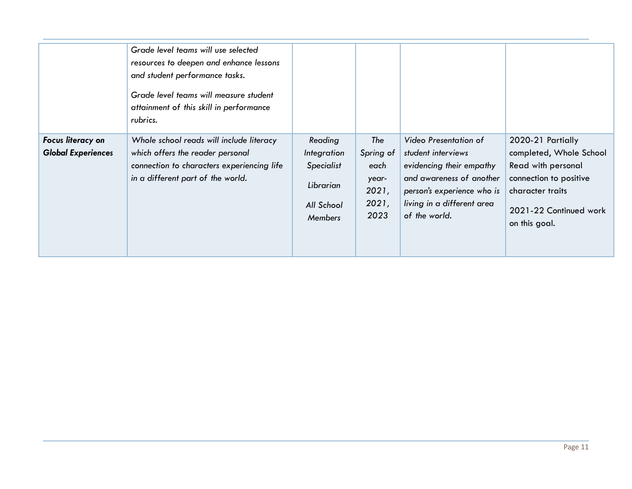|                           | Grade level teams will use selected<br>resources to deepen and enhance lessons<br>and student performance tasks.<br>Grade level teams will measure student<br>attainment of this skill in performance<br>rubrics. |                   |                |                                                        |                                            |
|---------------------------|-------------------------------------------------------------------------------------------------------------------------------------------------------------------------------------------------------------------|-------------------|----------------|--------------------------------------------------------|--------------------------------------------|
| Focus literacy on         | Whole school reads will include literacy                                                                                                                                                                          | Reading           | The            | Video Presentation of                                  | 2020-21 Partially                          |
| <b>Global Experiences</b> | which offers the reader personal                                                                                                                                                                                  | Integration       | Spring of      | student interviews                                     | completed, Whole School                    |
|                           | connection to characters experiencing life                                                                                                                                                                        | <b>Specialist</b> | each           | evidencing their empathy                               | Read with personal                         |
|                           | in a different part of the world.                                                                                                                                                                                 | Librarian         | year-<br>2021, | and awareness of another<br>person's experience who is | connection to positive<br>character traits |
|                           |                                                                                                                                                                                                                   | All School        | 2021,          | living in a different area                             | 2021-22 Continued work                     |
|                           |                                                                                                                                                                                                                   | <b>Members</b>    | 2023           | of the world.                                          |                                            |
|                           |                                                                                                                                                                                                                   |                   |                |                                                        | on this goal.                              |
|                           |                                                                                                                                                                                                                   |                   |                |                                                        |                                            |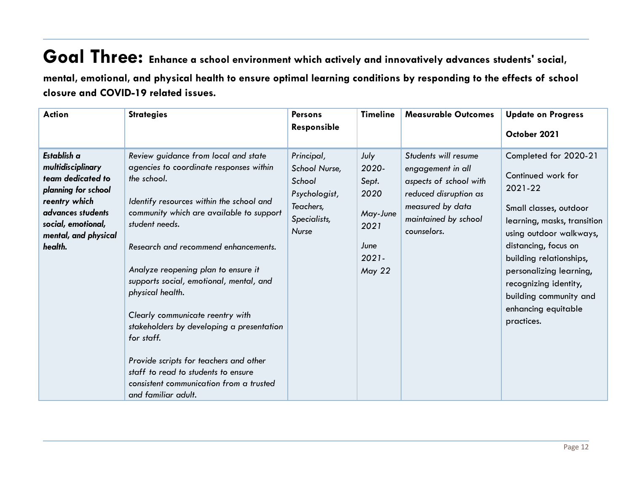### **Goal Three: Enhance <sup>a</sup> school environment which actively and innovatively advances students' social,** mental, emotional, and physical health to ensure optimal learning conditions by responding to the effects of school **closure and COVID-19 related issues.**

| <b>Action</b>                                                                                                                                                               | <b>Strategies</b>                                                                                                                                                                                                                                                                                                                                                                                                                                                                                                                                                                                        | <b>Persons</b><br>Responsible                                                                       | <b>Timeline</b>                                                                         | <b>Measurable Outcomes</b>                                                                                                                              | <b>Update on Progress</b><br>October 2021                                                                                                                                                                                                                                                                        |
|-----------------------------------------------------------------------------------------------------------------------------------------------------------------------------|----------------------------------------------------------------------------------------------------------------------------------------------------------------------------------------------------------------------------------------------------------------------------------------------------------------------------------------------------------------------------------------------------------------------------------------------------------------------------------------------------------------------------------------------------------------------------------------------------------|-----------------------------------------------------------------------------------------------------|-----------------------------------------------------------------------------------------|---------------------------------------------------------------------------------------------------------------------------------------------------------|------------------------------------------------------------------------------------------------------------------------------------------------------------------------------------------------------------------------------------------------------------------------------------------------------------------|
| Establish a<br>multidisciplinary<br>team dedicated to<br>planning for school<br>reentry which<br>advances students<br>social, emotional,<br>mental, and physical<br>health. | Review guidance from local and state<br>agencies to coordinate responses within<br>the school.<br>Identify resources within the school and<br>community which are available to support<br>student needs.<br>Research and recommend enhancements.<br>Analyze reopening plan to ensure it<br>supports social, emotional, mental, and<br>physical health.<br>Clearly communicate reentry with<br>stakeholders by developing a presentation<br>for staff.<br>Provide scripts for teachers and other<br>staff to read to students to ensure<br>consistent communication from a trusted<br>and familiar adult. | Principal,<br>School Nurse,<br>School<br>Psychologist,<br>Teachers,<br>Specialists,<br><b>Nurse</b> | July<br>2020-<br>Sept.<br>2020<br>May-June<br>2021<br>June<br>$2021 -$<br><b>May 22</b> | Students will resume<br>engagement in all<br>aspects of school with<br>reduced disruption as<br>measured by data<br>maintained by school<br>counselors. | Completed for 2020-21<br>Continued work for<br>2021-22<br>Small classes, outdoor<br>learning, masks, transition<br>using outdoor walkways,<br>distancing, focus on<br>building relationships,<br>personalizing learning,<br>recognizing identity,<br>building community and<br>enhancing equitable<br>practices. |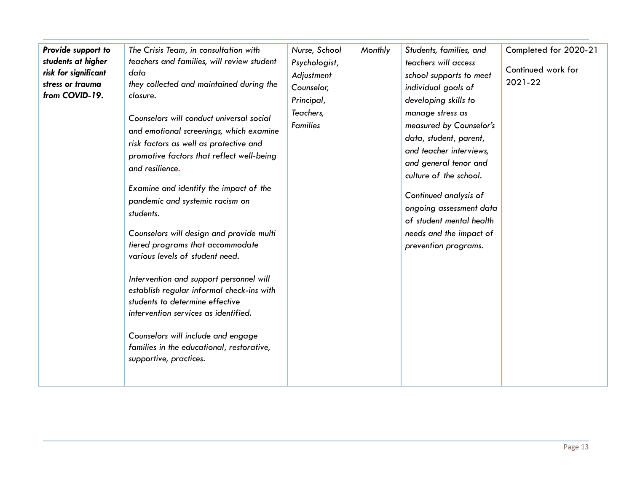| Provide support to<br>students at higher<br>risk for significant<br>stress or trauma<br>from COVID-19. | The Crisis Team, in consultation with<br>teachers and families, will review student<br>data<br>they collected and maintained during the<br>closure.<br>Counselors will conduct universal social<br>and emotional screenings, which examine<br>risk factors as well as protective and<br>promotive factors that reflect well-being<br>and resilience.<br>Examine and identify the impact of the<br>pandemic and systemic racism on<br>students.<br>Counselors will design and provide multi<br>tiered programs that accommodate<br>various levels of student need.<br>Intervention and support personnel will<br>establish regular informal check-ins with<br>students to determine effective<br>intervention services as identified.<br>Counselors will include and engage<br>families in the educational, restorative,<br>supportive, practices. | Nurse, School<br>Psychologist,<br>Adjustment<br>Counselor,<br>Principal,<br>Teachers,<br><b>Families</b> | Monthly | Students, families, and<br>teachers will access<br>school supports to meet<br>individual goals of<br>developing skills to<br>manage stress as<br>measured by Counselor's<br>data, student, parent,<br>and teacher interviews,<br>and general tenor and<br>culture of the school.<br>Continued analysis of<br>ongoing assessment data<br>of student mental health<br>needs and the impact of<br>prevention programs. | Completed for 2020-21<br>Continued work for<br>2021-22 |
|--------------------------------------------------------------------------------------------------------|---------------------------------------------------------------------------------------------------------------------------------------------------------------------------------------------------------------------------------------------------------------------------------------------------------------------------------------------------------------------------------------------------------------------------------------------------------------------------------------------------------------------------------------------------------------------------------------------------------------------------------------------------------------------------------------------------------------------------------------------------------------------------------------------------------------------------------------------------|----------------------------------------------------------------------------------------------------------|---------|---------------------------------------------------------------------------------------------------------------------------------------------------------------------------------------------------------------------------------------------------------------------------------------------------------------------------------------------------------------------------------------------------------------------|--------------------------------------------------------|
|--------------------------------------------------------------------------------------------------------|---------------------------------------------------------------------------------------------------------------------------------------------------------------------------------------------------------------------------------------------------------------------------------------------------------------------------------------------------------------------------------------------------------------------------------------------------------------------------------------------------------------------------------------------------------------------------------------------------------------------------------------------------------------------------------------------------------------------------------------------------------------------------------------------------------------------------------------------------|----------------------------------------------------------------------------------------------------------|---------|---------------------------------------------------------------------------------------------------------------------------------------------------------------------------------------------------------------------------------------------------------------------------------------------------------------------------------------------------------------------------------------------------------------------|--------------------------------------------------------|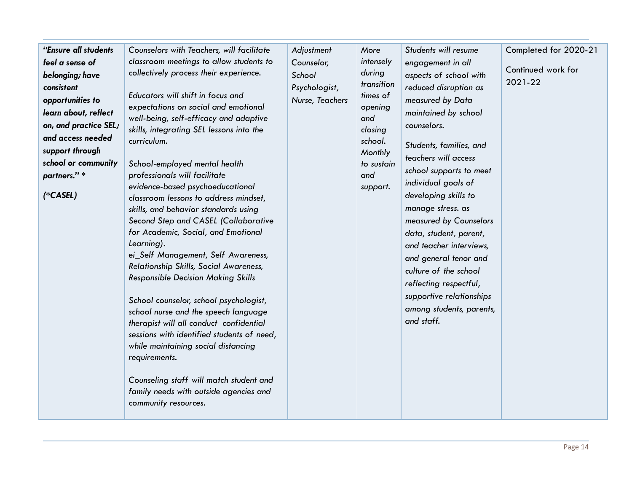| "Ensure all students<br>Adjustment<br>Students will resume<br>Completed for 2020-21<br>Counselors with Teachers, will facilitate<br>More<br>classroom meetings to allow students to<br>intensely<br>feel a sense of<br>Counselor,<br>engagement in all<br>Continued work for<br>collectively process their experience.<br>during<br>School<br>belonging; have<br>aspects of school with<br>2021-22<br>transition<br>Psychologist,<br>consistent<br>reduced disruption as<br>Educators will shift in focus and<br>times of<br>opportunities to<br>measured by Data<br>Nurse, Teachers<br>expectations on social and emotional<br>opening<br>learn about, reflect<br>maintained by school<br>well-being, self-efficacy and adaptive<br>and<br>on, and practice SEL;<br>counselors.<br>skills, integrating SEL lessons into the<br>closing<br>and access needed<br>curriculum.<br>school.<br>Students, families, and<br>support through<br>Monthly<br>teachers will access<br>school or community<br>School-employed mental health<br>to sustain<br>school supports to meet<br>professionals will facilitate<br>and<br>partners."*<br>individual goals of<br>evidence-based psychoeducational<br>support.<br>$(*CASEL)$<br>developing skills to<br>classroom lessons to address mindset,<br>manage stress. as<br>skills, and behavior standards using<br>Second Step and CASEL (Collaborative<br>measured by Counselors<br>for Academic, Social, and Emotional<br>data, student, parent,<br>Learning).<br>and teacher interviews,<br>ei_Self Management, Self Awareness,<br>and general tenor and<br>Relationship Skills, Social Awareness,<br>culture of the school<br><b>Responsible Decision Making Skills</b><br>reflecting respectful,<br>supportive relationships<br>School counselor, school psychologist,<br>among students, parents,<br>school nurse and the speech language<br>and staff.<br>therapist will all conduct confidential<br>sessions with identified students of need,<br>while maintaining social distancing<br>requirements.<br>Counseling staff will match student and<br>family needs with outside agencies and<br>community resources. |  |  |  |
|----------------------------------------------------------------------------------------------------------------------------------------------------------------------------------------------------------------------------------------------------------------------------------------------------------------------------------------------------------------------------------------------------------------------------------------------------------------------------------------------------------------------------------------------------------------------------------------------------------------------------------------------------------------------------------------------------------------------------------------------------------------------------------------------------------------------------------------------------------------------------------------------------------------------------------------------------------------------------------------------------------------------------------------------------------------------------------------------------------------------------------------------------------------------------------------------------------------------------------------------------------------------------------------------------------------------------------------------------------------------------------------------------------------------------------------------------------------------------------------------------------------------------------------------------------------------------------------------------------------------------------------------------------------------------------------------------------------------------------------------------------------------------------------------------------------------------------------------------------------------------------------------------------------------------------------------------------------------------------------------------------------------------------------------------------------------------------------------------------------------------------------------------------------|--|--|--|
|                                                                                                                                                                                                                                                                                                                                                                                                                                                                                                                                                                                                                                                                                                                                                                                                                                                                                                                                                                                                                                                                                                                                                                                                                                                                                                                                                                                                                                                                                                                                                                                                                                                                                                                                                                                                                                                                                                                                                                                                                                                                                                                                                                |  |  |  |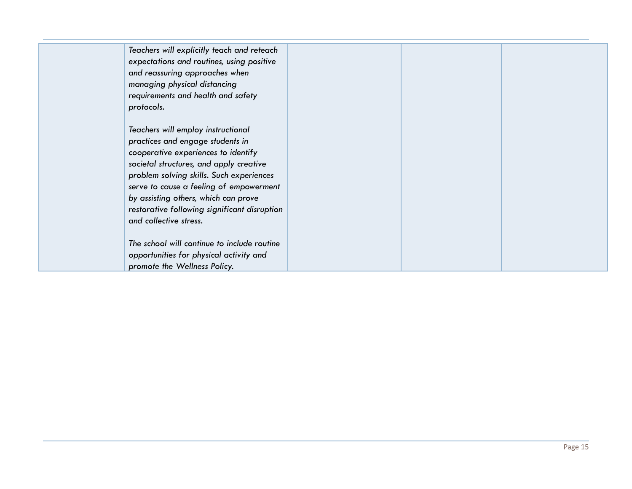| Teachers will explicitly teach and reteach<br>expectations and routines, using positive<br>and reassuring approaches when<br>managing physical distancing<br>requirements and health and safety<br>protocols.                                                                                                                                                     |  |  |
|-------------------------------------------------------------------------------------------------------------------------------------------------------------------------------------------------------------------------------------------------------------------------------------------------------------------------------------------------------------------|--|--|
| Teachers will employ instructional<br>practices and engage students in<br>cooperative experiences to identify<br>societal structures, and apply creative<br>problem solving skills. Such experiences<br>serve to cause a feeling of empowerment<br>by assisting others, which can prove<br>restorative following significant disruption<br>and collective stress. |  |  |
| The school will continue to include routine<br>opportunities for physical activity and<br>promote the Wellness Policy.                                                                                                                                                                                                                                            |  |  |